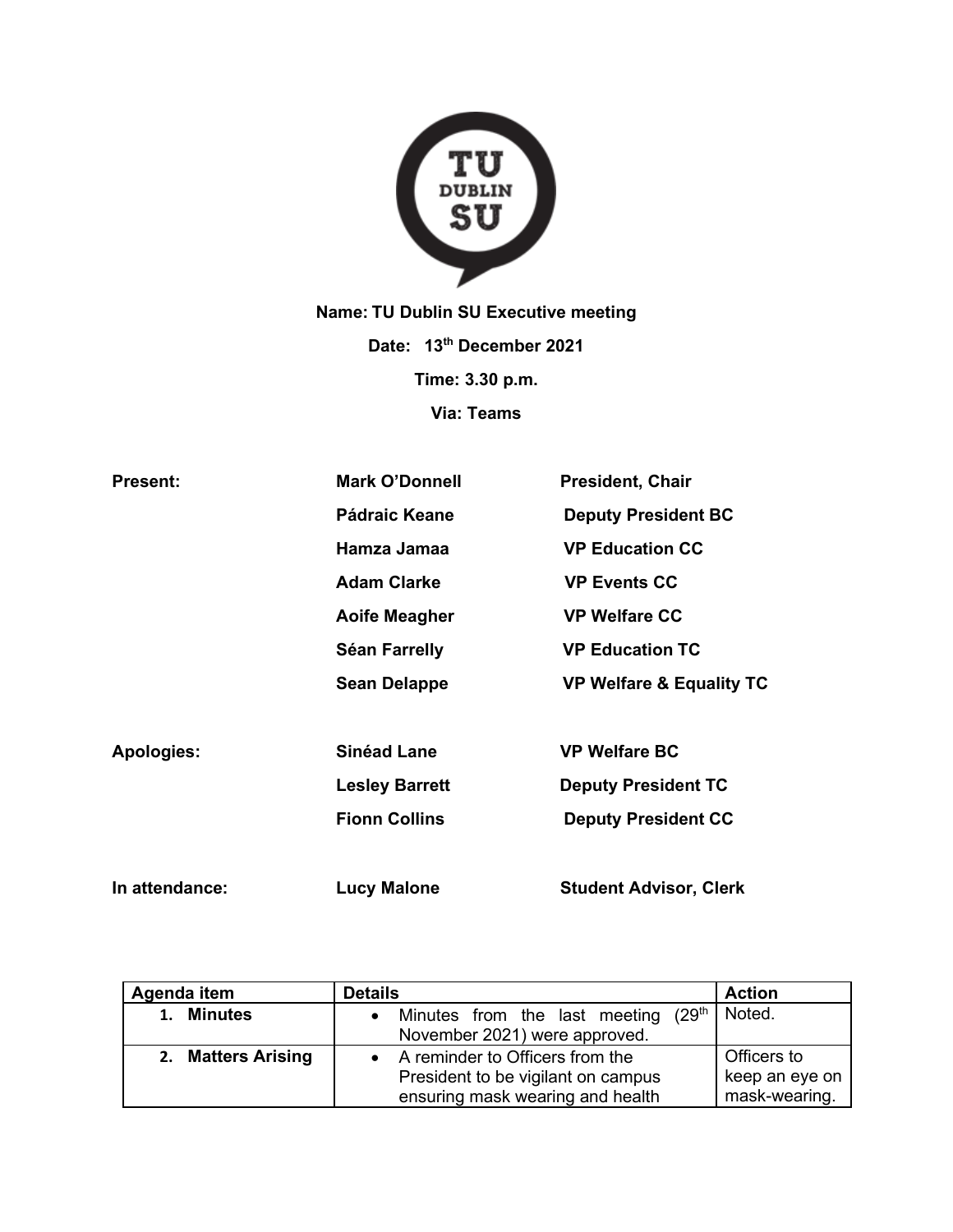

**Name: TU Dublin SU Executive meeting Date: 13th December 2021 Time: 3.30 p.m. Via: Teams**

| <b>Present:</b>   | <b>Mark O'Donnell</b> | <b>President, Chair</b>             |
|-------------------|-----------------------|-------------------------------------|
|                   | <b>Pádraic Keane</b>  | <b>Deputy President BC</b>          |
|                   | Hamza Jamaa           | <b>VP Education CC</b>              |
|                   | <b>Adam Clarke</b>    | <b>VP Events CC</b>                 |
|                   | <b>Aoife Meagher</b>  | <b>VP Welfare CC</b>                |
|                   | Séan Farrelly         | <b>VP Education TC</b>              |
|                   | <b>Sean Delappe</b>   | <b>VP Welfare &amp; Equality TC</b> |
|                   |                       |                                     |
| <b>Apologies:</b> | <b>Sinéad Lane</b>    | <b>VP Welfare BC</b>                |
|                   | <b>Lesley Barrett</b> | <b>Deputy President TC</b>          |
|                   | <b>Fionn Collins</b>  | <b>Deputy President CC</b>          |
|                   |                       |                                     |
| In attendance:    | <b>Lucy Malone</b>    | <b>Student Advisor, Clerk</b>       |

| Agenda item          | <b>Details</b>                                    | <b>Action</b>  |
|----------------------|---------------------------------------------------|----------------|
| <b>Minutes</b><br>1. | Minutes from the last meeting (29 <sup>th</sup> ) | Noted.         |
|                      | November 2021) were approved.                     |                |
| 2. Matters Arising   | A reminder to Officers from the                   | Officers to    |
|                      | President to be vigilant on campus                | keep an eye on |
|                      | ensuring mask wearing and health                  | mask-wearing.  |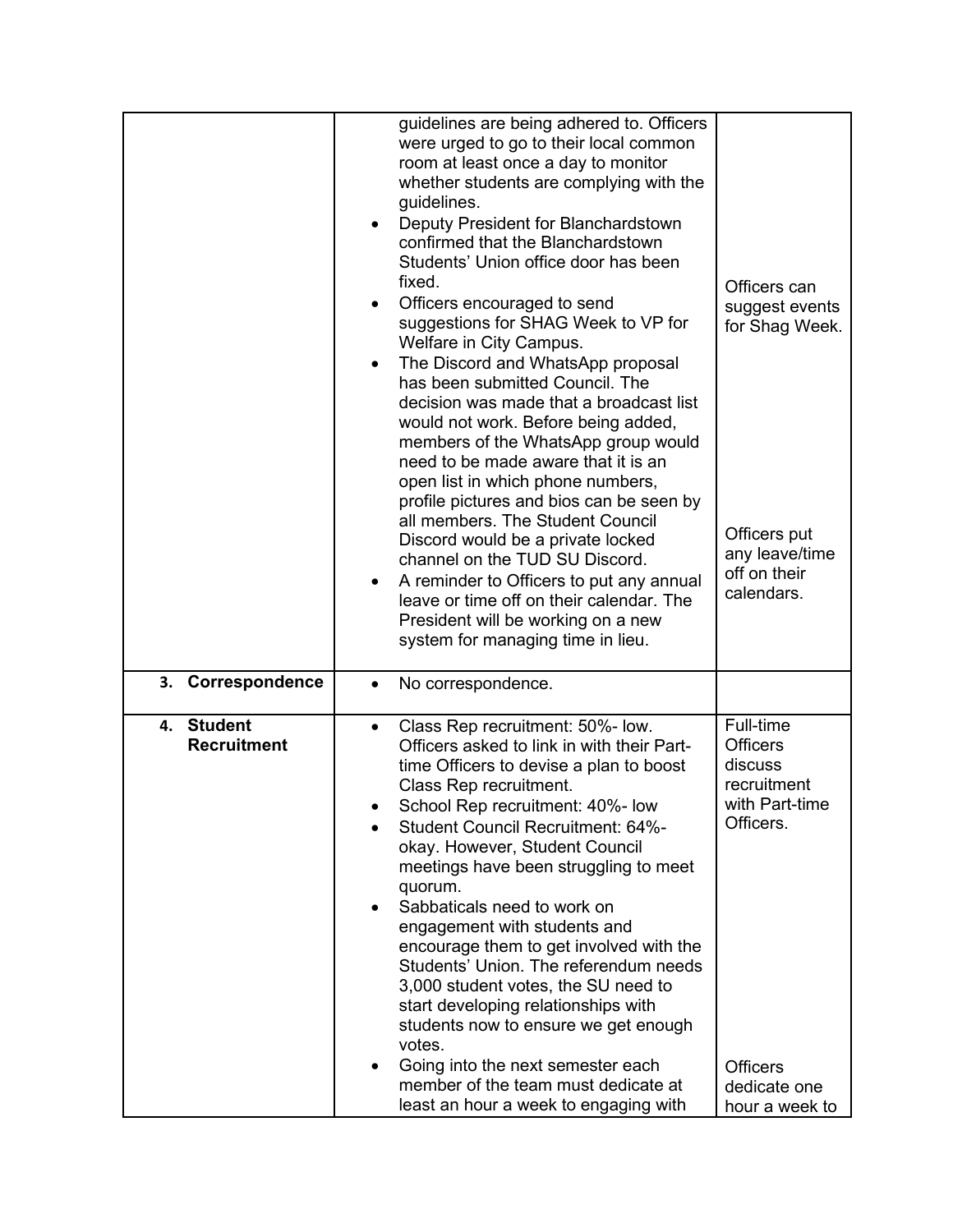|                                  | guidelines are being adhered to. Officers<br>were urged to go to their local common<br>room at least once a day to monitor<br>whether students are complying with the<br>guidelines.<br>Deputy President for Blanchardstown<br>confirmed that the Blanchardstown<br>Students' Union office door has been<br>fixed.<br>Officers encouraged to send<br>suggestions for SHAG Week to VP for<br>Welfare in City Campus.<br>The Discord and WhatsApp proposal<br>$\bullet$<br>has been submitted Council. The<br>decision was made that a broadcast list<br>would not work. Before being added,<br>members of the WhatsApp group would<br>need to be made aware that it is an<br>open list in which phone numbers,<br>profile pictures and bios can be seen by<br>all members. The Student Council<br>Discord would be a private locked<br>channel on the TUD SU Discord.<br>A reminder to Officers to put any annual<br>leave or time off on their calendar. The<br>President will be working on a new<br>system for managing time in lieu. | Officers can<br>suggest events<br>for Shag Week.<br>Officers put<br>any leave/time<br>off on their<br>calendars. |
|----------------------------------|-----------------------------------------------------------------------------------------------------------------------------------------------------------------------------------------------------------------------------------------------------------------------------------------------------------------------------------------------------------------------------------------------------------------------------------------------------------------------------------------------------------------------------------------------------------------------------------------------------------------------------------------------------------------------------------------------------------------------------------------------------------------------------------------------------------------------------------------------------------------------------------------------------------------------------------------------------------------------------------------------------------------------------------------|------------------------------------------------------------------------------------------------------------------|
| <b>Correspondence</b><br>3.      | No correspondence.<br>$\bullet$                                                                                                                                                                                                                                                                                                                                                                                                                                                                                                                                                                                                                                                                                                                                                                                                                                                                                                                                                                                                         |                                                                                                                  |
| 4. Student<br><b>Recruitment</b> | Class Rep recruitment: 50%- low.<br>$\bullet$<br>Officers asked to link in with their Part-<br>time Officers to devise a plan to boost<br>Class Rep recruitment.<br>School Rep recruitment: 40%- low<br>Student Council Recruitment: 64%-<br>okay. However, Student Council<br>meetings have been struggling to meet<br>quorum.<br>Sabbaticals need to work on<br>engagement with students and<br>encourage them to get involved with the<br>Students' Union. The referendum needs<br>3,000 student votes, the SU need to<br>start developing relationships with<br>students now to ensure we get enough<br>votes.<br>Going into the next semester each<br>$\bullet$                                                                                                                                                                                                                                                                                                                                                                    | Full-time<br><b>Officers</b><br>discuss<br>recruitment<br>with Part-time<br>Officers.<br><b>Officers</b>         |
|                                  | member of the team must dedicate at<br>least an hour a week to engaging with                                                                                                                                                                                                                                                                                                                                                                                                                                                                                                                                                                                                                                                                                                                                                                                                                                                                                                                                                            | dedicate one<br>hour a week to                                                                                   |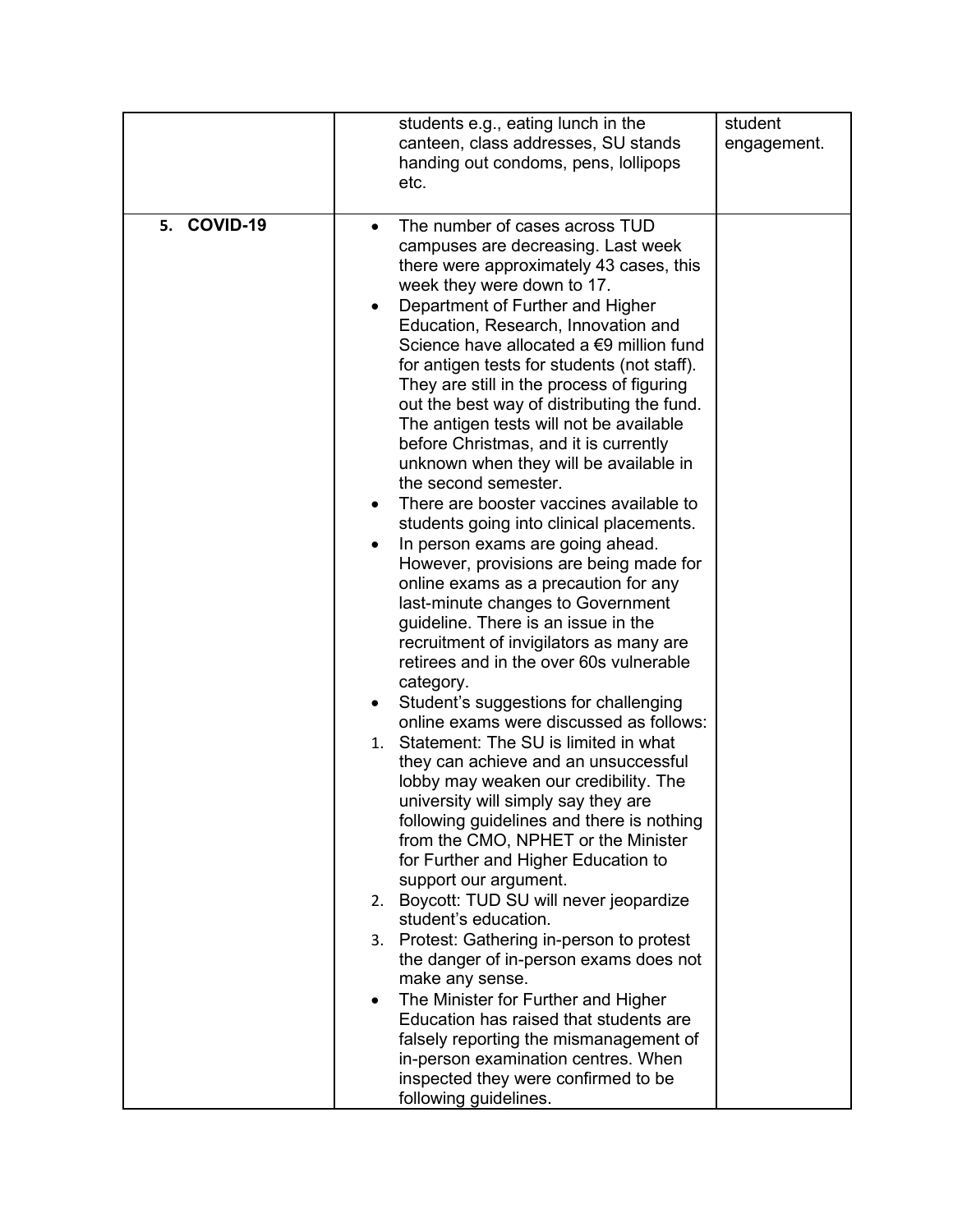| COVID-19<br>5.<br>The number of cases across TUD<br>$\bullet$<br>campuses are decreasing. Last week<br>there were approximately 43 cases, this<br>week they were down to 17.<br>Department of Further and Higher<br>Education, Research, Innovation and<br>Science have allocated a €9 million fund<br>for antigen tests for students (not staff).<br>They are still in the process of figuring<br>out the best way of distributing the fund.<br>The antigen tests will not be available<br>before Christmas, and it is currently<br>unknown when they will be available in<br>the second semester.<br>There are booster vaccines available to<br>students going into clinical placements.<br>In person exams are going ahead.<br>However, provisions are being made for<br>online exams as a precaution for any<br>last-minute changes to Government<br>guideline. There is an issue in the<br>recruitment of invigilators as many are<br>retirees and in the over 60s vulnerable<br>category.<br>Student's suggestions for challenging<br>٠<br>online exams were discussed as follows:<br>Statement: The SU is limited in what<br>1.<br>they can achieve and an unsuccessful<br>lobby may weaken our credibility. The | students e.g., eating lunch in the<br>canteen, class addresses, SU stands<br>handing out condoms, pens, lollipops<br>etc. | student<br>engagement. |
|-------------------------------------------------------------------------------------------------------------------------------------------------------------------------------------------------------------------------------------------------------------------------------------------------------------------------------------------------------------------------------------------------------------------------------------------------------------------------------------------------------------------------------------------------------------------------------------------------------------------------------------------------------------------------------------------------------------------------------------------------------------------------------------------------------------------------------------------------------------------------------------------------------------------------------------------------------------------------------------------------------------------------------------------------------------------------------------------------------------------------------------------------------------------------------------------------------------------------|---------------------------------------------------------------------------------------------------------------------------|------------------------|
| following guidelines and there is nothing<br>from the CMO, NPHET or the Minister<br>for Further and Higher Education to<br>support our argument.<br>Boycott: TUD SU will never jeopardize<br>2.<br>student's education.<br>3. Protest: Gathering in-person to protest<br>the danger of in-person exams does not<br>make any sense.<br>The Minister for Further and Higher<br>Education has raised that students are<br>falsely reporting the mismanagement of<br>in-person examination centres. When<br>inspected they were confirmed to be<br>following guidelines.                                                                                                                                                                                                                                                                                                                                                                                                                                                                                                                                                                                                                                                    | university will simply say they are                                                                                       |                        |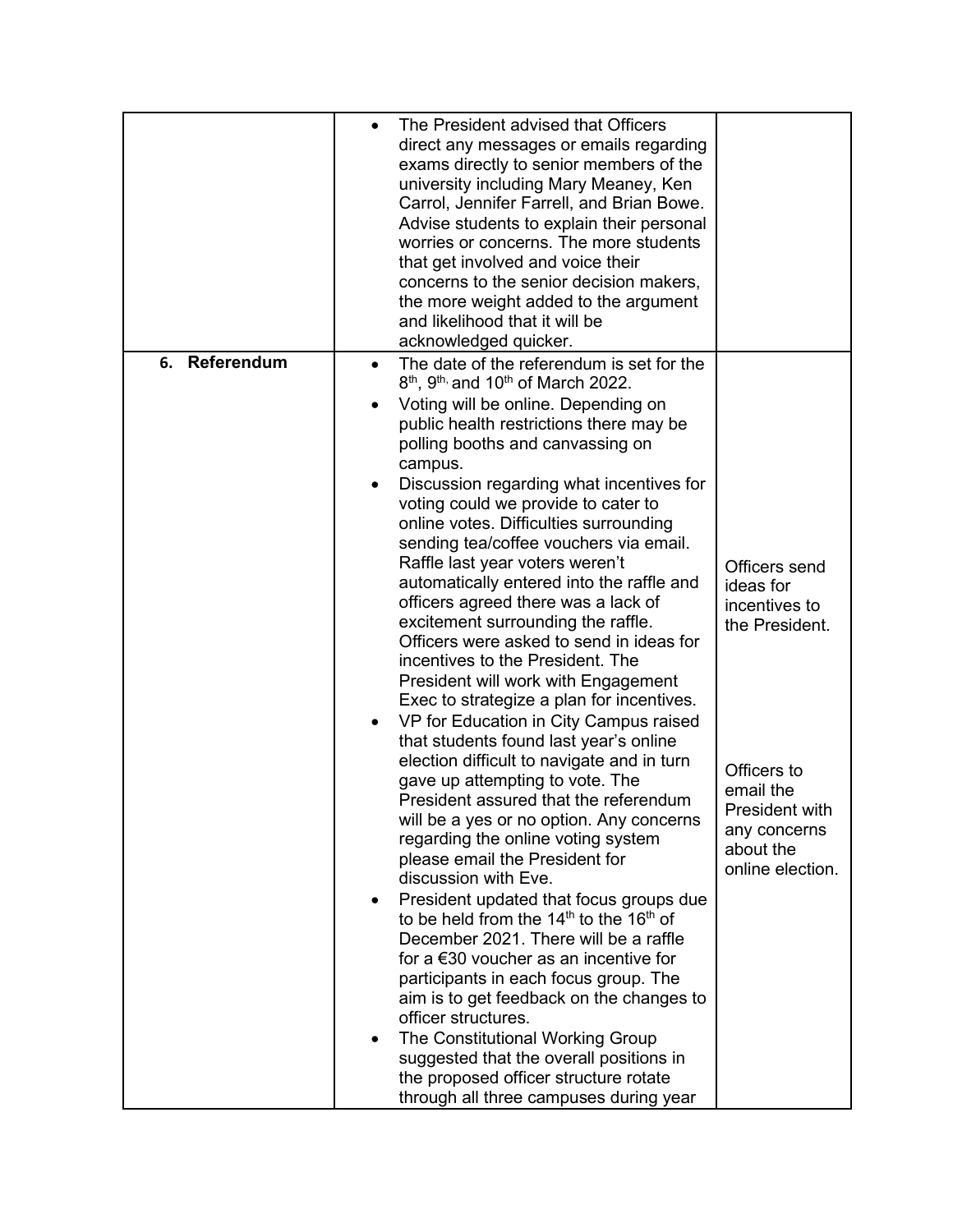|                  | The President advised that Officers<br>direct any messages or emails regarding<br>exams directly to senior members of the<br>university including Mary Meaney, Ken<br>Carrol, Jennifer Farrell, and Brian Bowe.<br>Advise students to explain their personal<br>worries or concerns. The more students<br>that get involved and voice their<br>concerns to the senior decision makers,<br>the more weight added to the argument<br>and likelihood that it will be<br>acknowledged quicker.                                                                                                                                                                                                                                                                                                                                                                                                                                                                                                                                                                                                                                                                                                                                                                                                                                                                                                                                                                                                                                                                                            |                                                                                                                                                              |
|------------------|---------------------------------------------------------------------------------------------------------------------------------------------------------------------------------------------------------------------------------------------------------------------------------------------------------------------------------------------------------------------------------------------------------------------------------------------------------------------------------------------------------------------------------------------------------------------------------------------------------------------------------------------------------------------------------------------------------------------------------------------------------------------------------------------------------------------------------------------------------------------------------------------------------------------------------------------------------------------------------------------------------------------------------------------------------------------------------------------------------------------------------------------------------------------------------------------------------------------------------------------------------------------------------------------------------------------------------------------------------------------------------------------------------------------------------------------------------------------------------------------------------------------------------------------------------------------------------------|--------------------------------------------------------------------------------------------------------------------------------------------------------------|
| Referendum<br>6. | The date of the referendum is set for the<br>$8th$ , 9 <sup>th,</sup> and 10 <sup>th</sup> of March 2022.<br>Voting will be online. Depending on<br>public health restrictions there may be<br>polling booths and canvassing on<br>campus.<br>Discussion regarding what incentives for<br>voting could we provide to cater to<br>online votes. Difficulties surrounding<br>sending tea/coffee vouchers via email.<br>Raffle last year voters weren't<br>automatically entered into the raffle and<br>officers agreed there was a lack of<br>excitement surrounding the raffle.<br>Officers were asked to send in ideas for<br>incentives to the President. The<br>President will work with Engagement<br>Exec to strategize a plan for incentives.<br>VP for Education in City Campus raised<br>that students found last year's online<br>election difficult to navigate and in turn<br>gave up attempting to vote. The<br>President assured that the referendum<br>will be a yes or no option. Any concerns<br>regarding the online voting system<br>please email the President for<br>discussion with Eve.<br>President updated that focus groups due<br>٠<br>to be held from the $14th$ to the $16th$ of<br>December 2021. There will be a raffle<br>for a $\epsilon$ 30 voucher as an incentive for<br>participants in each focus group. The<br>aim is to get feedback on the changes to<br>officer structures.<br>The Constitutional Working Group<br>suggested that the overall positions in<br>the proposed officer structure rotate<br>through all three campuses during year | Officers send<br>ideas for<br>incentives to<br>the President.<br>Officers to<br>email the<br>President with<br>any concerns<br>about the<br>online election. |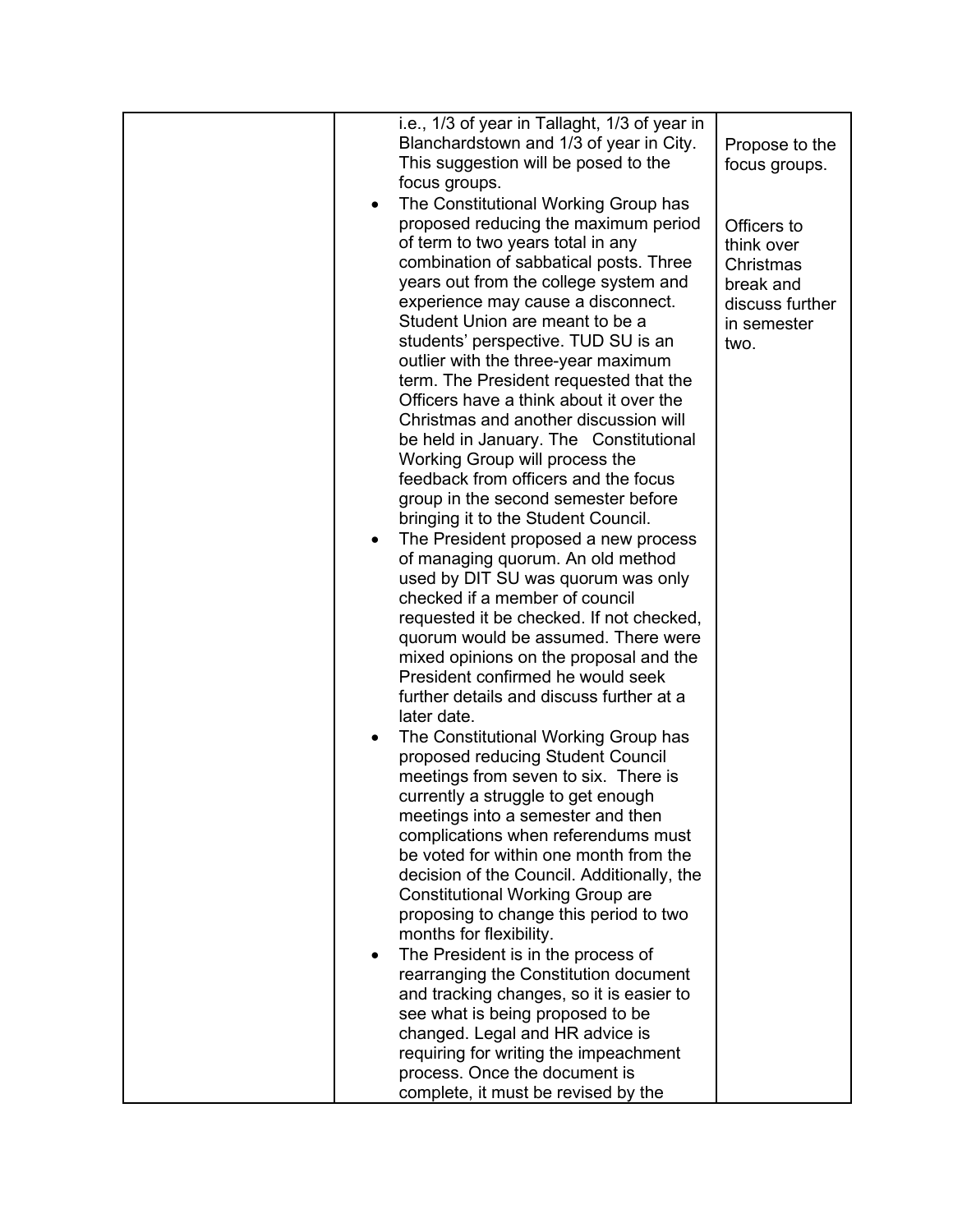|           | i.e., 1/3 of year in Tallaght, 1/3 of year in |                 |
|-----------|-----------------------------------------------|-----------------|
|           | Blanchardstown and 1/3 of year in City.       | Propose to the  |
|           | This suggestion will be posed to the          | focus groups.   |
|           | focus groups.                                 |                 |
| $\bullet$ | The Constitutional Working Group has          |                 |
|           | proposed reducing the maximum period          | Officers to     |
|           | of term to two years total in any             | think over      |
|           | combination of sabbatical posts. Three        | Christmas       |
|           | years out from the college system and         | break and       |
|           | experience may cause a disconnect.            | discuss further |
|           | Student Union are meant to be a               | in semester     |
|           | students' perspective. TUD SU is an           | two.            |
|           | outlier with the three-year maximum           |                 |
|           | term. The President requested that the        |                 |
|           | Officers have a think about it over the       |                 |
|           | Christmas and another discussion will         |                 |
|           | be held in January. The Constitutional        |                 |
|           | Working Group will process the                |                 |
|           | feedback from officers and the focus          |                 |
|           | group in the second semester before           |                 |
|           | bringing it to the Student Council.           |                 |
| $\bullet$ | The President proposed a new process          |                 |
|           | of managing quorum. An old method             |                 |
|           | used by DIT SU was quorum was only            |                 |
|           | checked if a member of council                |                 |
|           | requested it be checked. If not checked,      |                 |
|           | quorum would be assumed. There were           |                 |
|           | mixed opinions on the proposal and the        |                 |
|           | President confirmed he would seek             |                 |
|           | further details and discuss further at a      |                 |
|           | later date.                                   |                 |
| $\bullet$ | The Constitutional Working Group has          |                 |
|           | proposed reducing Student Council             |                 |
|           | meetings from seven to six. There is          |                 |
|           | currently a struggle to get enough            |                 |
|           | meetings into a semester and then             |                 |
|           | complications when referendums must           |                 |
|           | be voted for within one month from the        |                 |
|           | decision of the Council. Additionally, the    |                 |
|           | <b>Constitutional Working Group are</b>       |                 |
|           | proposing to change this period to two        |                 |
|           | months for flexibility.                       |                 |
| ٠         | The President is in the process of            |                 |
|           | rearranging the Constitution document         |                 |
|           | and tracking changes, so it is easier to      |                 |
|           | see what is being proposed to be              |                 |
|           | changed. Legal and HR advice is               |                 |
|           | requiring for writing the impeachment         |                 |
|           | process. Once the document is                 |                 |
|           | complete, it must be revised by the           |                 |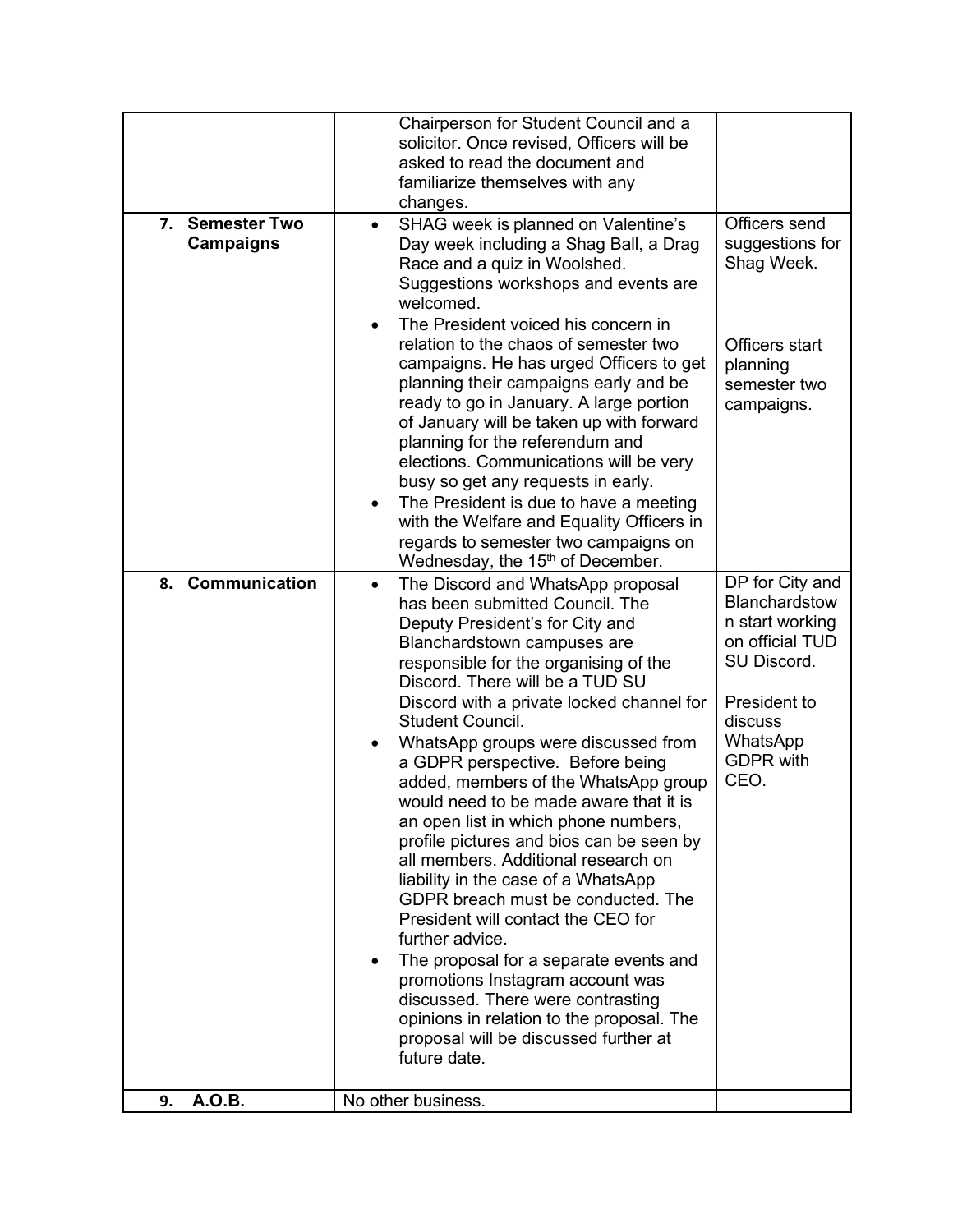|                                               | Chairperson for Student Council and a<br>solicitor. Once revised, Officers will be<br>asked to read the document and<br>familiarize themselves with any<br>changes.                                                                                                                                                                                                                                                                                                                                                                                                                                                                                                                                                                                                                                                                                                                                                                                     |                                                                                                                                                          |
|-----------------------------------------------|---------------------------------------------------------------------------------------------------------------------------------------------------------------------------------------------------------------------------------------------------------------------------------------------------------------------------------------------------------------------------------------------------------------------------------------------------------------------------------------------------------------------------------------------------------------------------------------------------------------------------------------------------------------------------------------------------------------------------------------------------------------------------------------------------------------------------------------------------------------------------------------------------------------------------------------------------------|----------------------------------------------------------------------------------------------------------------------------------------------------------|
| <b>Semester Two</b><br>7.<br><b>Campaigns</b> | SHAG week is planned on Valentine's<br>$\bullet$<br>Day week including a Shag Ball, a Drag<br>Race and a quiz in Woolshed.<br>Suggestions workshops and events are<br>welcomed.<br>The President voiced his concern in<br>relation to the chaos of semester two<br>campaigns. He has urged Officers to get<br>planning their campaigns early and be<br>ready to go in January. A large portion<br>of January will be taken up with forward<br>planning for the referendum and<br>elections. Communications will be very<br>busy so get any requests in early.<br>The President is due to have a meeting<br>with the Welfare and Equality Officers in<br>regards to semester two campaigns on<br>Wednesday, the 15 <sup>th</sup> of December.                                                                                                                                                                                                            | Officers send<br>suggestions for<br>Shag Week.<br>Officers start<br>planning<br>semester two<br>campaigns.                                               |
| Communication<br>8.                           | The Discord and WhatsApp proposal<br>$\bullet$<br>has been submitted Council. The<br>Deputy President's for City and<br>Blanchardstown campuses are<br>responsible for the organising of the<br>Discord. There will be a TUD SU<br>Discord with a private locked channel for<br>Student Council.<br>WhatsApp groups were discussed from<br>a GDPR perspective. Before being<br>added, members of the WhatsApp group<br>would need to be made aware that it is<br>an open list in which phone numbers,<br>profile pictures and bios can be seen by<br>all members. Additional research on<br>liability in the case of a WhatsApp<br>GDPR breach must be conducted. The<br>President will contact the CEO for<br>further advice.<br>The proposal for a separate events and<br>promotions Instagram account was<br>discussed. There were contrasting<br>opinions in relation to the proposal. The<br>proposal will be discussed further at<br>future date. | DP for City and<br>Blanchardstow<br>n start working<br>on official TUD<br>SU Discord.<br>President to<br>discuss<br>WhatsApp<br><b>GDPR with</b><br>CEO. |
| A.O.B.<br>9.                                  | No other business.                                                                                                                                                                                                                                                                                                                                                                                                                                                                                                                                                                                                                                                                                                                                                                                                                                                                                                                                      |                                                                                                                                                          |